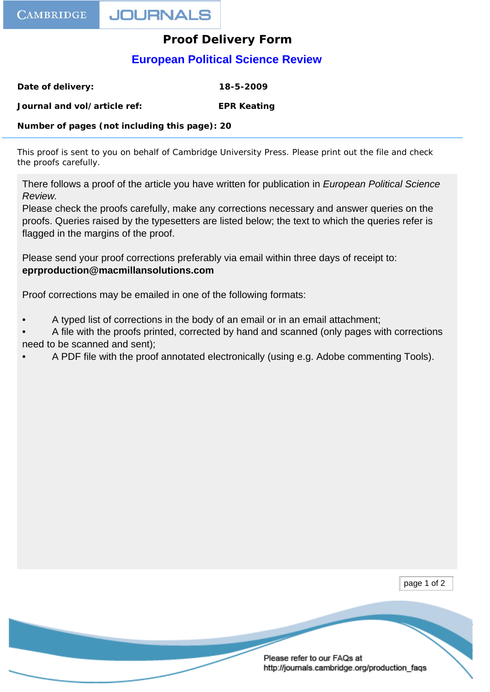### **CAMBRIDGE**

# **Proof Delivery Form**

### **European Political Science Review**

**Date of delivery: 18-5-2009**

**JOURNALS** 

**Journal and vol/article ref: EPR Keating**

**Number of pages (not including this page): 20**

This proof is sent to you on behalf of Cambridge University Press. Please print out the file and check the proofs carefully.

There follows a proof of the article you have written for publication in *European Political Science Review.*

Please check the proofs carefully, make any corrections necessary and answer queries on the proofs. Queries raised by the typesetters are listed below; the text to which the queries refer is flagged in the margins of the proof.

Please send your proof corrections preferably via email within three days of receipt to: **eprproduction@macmillansolutions.com**

Proof corrections may be emailed in one of the following formats:

• A typed list of corrections in the body of an email or in an email attachment;

• A file with the proofs printed, corrected by hand and scanned (only pages with corrections need to be scanned and sent);

• A PDF file with the proof annotated electronically (using e.g. Adobe commenting Tools).

page 1 of 2

Please refer to our FAQs at http://journals.cambridge.org/production\_faqs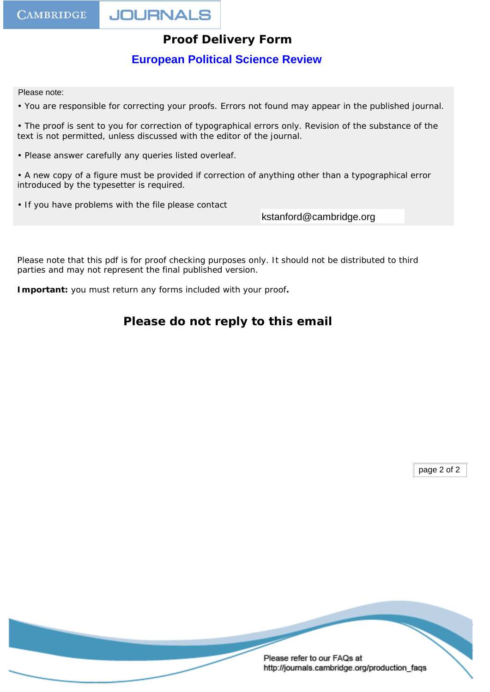## **Proof Delivery Form**

## **European Political Science Review**

Please note:

• You are responsible for correcting your proofs. Errors not found may appear in the published journal.

• The proof is sent to you for correction of typographical errors only. Revision of the substance of the text is not permitted, unless discussed with the editor of the journal.

• Please answer carefully any queries listed overleaf.

**JOURNALS** 

• A new copy of a figure must be provided if correction of anything other than a typographical error introduced by the typesetter is required.

• If you have problems with the file please contact

kstanford@cambridge.org

Please note that this pdf is for proof checking purposes only. It should not be distributed to third parties and may not represent the final published version.

**Important:** you must return any forms included with your proof**.**

## **Please do not reply to this email**

page 2 of 2

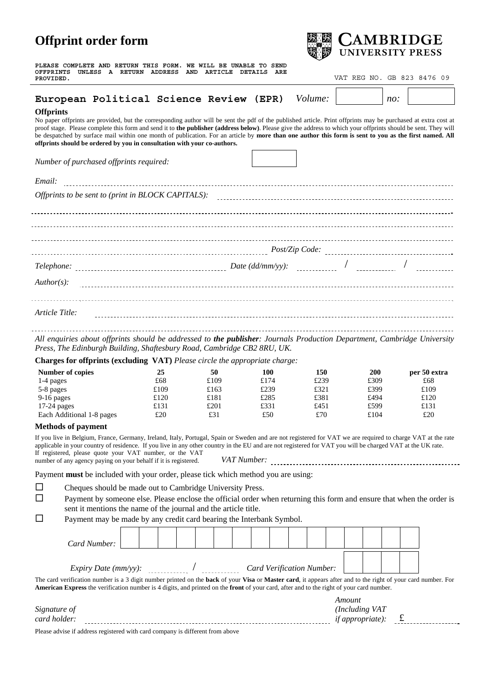| VAT REG NO. GB 823 8476 09<br>no:<br>No paper offprints are provided, but the corresponding author will be sent the pdf of the published article. Print offprints may be purchased at extra cost at<br>proof stage. Please complete this form and send it to the publisher (address below). Please give the address to which your offprints should be sent. They will<br>be despatched by surface mail within one month of publication. For an article by more than one author this form is sent to you as the first named. All |                                                                                                                                                                                                                                |
|---------------------------------------------------------------------------------------------------------------------------------------------------------------------------------------------------------------------------------------------------------------------------------------------------------------------------------------------------------------------------------------------------------------------------------------------------------------------------------------------------------------------------------|--------------------------------------------------------------------------------------------------------------------------------------------------------------------------------------------------------------------------------|
|                                                                                                                                                                                                                                                                                                                                                                                                                                                                                                                                 |                                                                                                                                                                                                                                |
|                                                                                                                                                                                                                                                                                                                                                                                                                                                                                                                                 |                                                                                                                                                                                                                                |
|                                                                                                                                                                                                                                                                                                                                                                                                                                                                                                                                 |                                                                                                                                                                                                                                |
|                                                                                                                                                                                                                                                                                                                                                                                                                                                                                                                                 |                                                                                                                                                                                                                                |
|                                                                                                                                                                                                                                                                                                                                                                                                                                                                                                                                 |                                                                                                                                                                                                                                |
|                                                                                                                                                                                                                                                                                                                                                                                                                                                                                                                                 | Offprints to be sent to (print in BLOCK CAPITALS): continuous contract to the sense of the sense of the sense of the sense of the sense of the sense of the sense of the sense of the sense of the sense of the sense of the s |
|                                                                                                                                                                                                                                                                                                                                                                                                                                                                                                                                 |                                                                                                                                                                                                                                |
|                                                                                                                                                                                                                                                                                                                                                                                                                                                                                                                                 |                                                                                                                                                                                                                                |
|                                                                                                                                                                                                                                                                                                                                                                                                                                                                                                                                 |                                                                                                                                                                                                                                |
| <b>200</b><br>£309<br>£399<br>£494<br>£599                                                                                                                                                                                                                                                                                                                                                                                                                                                                                      | per 50 extra<br>£68<br>£109<br>£120<br>£131<br>£20                                                                                                                                                                             |
|                                                                                                                                                                                                                                                                                                                                                                                                                                                                                                                                 |                                                                                                                                                                                                                                |
|                                                                                                                                                                                                                                                                                                                                                                                                                                                                                                                                 |                                                                                                                                                                                                                                |
| If you live in Belgium, France, Germany, Ireland, Italy, Portugal, Spain or Sweden and are not registered for VAT we are required to charge VAT at the rate<br>applicable in your country of residence. If you live in any other country in the EU and are not registered for VAT you will be charged VAT at the UK rate.                                                                                                                                                                                                       |                                                                                                                                                                                                                                |
|                                                                                                                                                                                                                                                                                                                                                                                                                                                                                                                                 |                                                                                                                                                                                                                                |
| Payment by someone else. Please enclose the official order when returning this form and ensure that when the order is                                                                                                                                                                                                                                                                                                                                                                                                           |                                                                                                                                                                                                                                |
|                                                                                                                                                                                                                                                                                                                                                                                                                                                                                                                                 |                                                                                                                                                                                                                                |
|                                                                                                                                                                                                                                                                                                                                                                                                                                                                                                                                 |                                                                                                                                                                                                                                |
| <b>Card Verification Number:</b>                                                                                                                                                                                                                                                                                                                                                                                                                                                                                                |                                                                                                                                                                                                                                |
| The card verification number is a 3 digit number printed on the back of your Visa or Master card, it appears after and to the right of your card number. For                                                                                                                                                                                                                                                                                                                                                                    |                                                                                                                                                                                                                                |
| American Express the verification number is 4 digits, and printed on the front of your card, after and to the right of your card number.<br>Amount<br>(Including VAT                                                                                                                                                                                                                                                                                                                                                            |                                                                                                                                                                                                                                |
|                                                                                                                                                                                                                                                                                                                                                                                                                                                                                                                                 | All enquiries about offprints should be addressed to the publisher: Journals Production Department, Cambridge University<br>£104                                                                                               |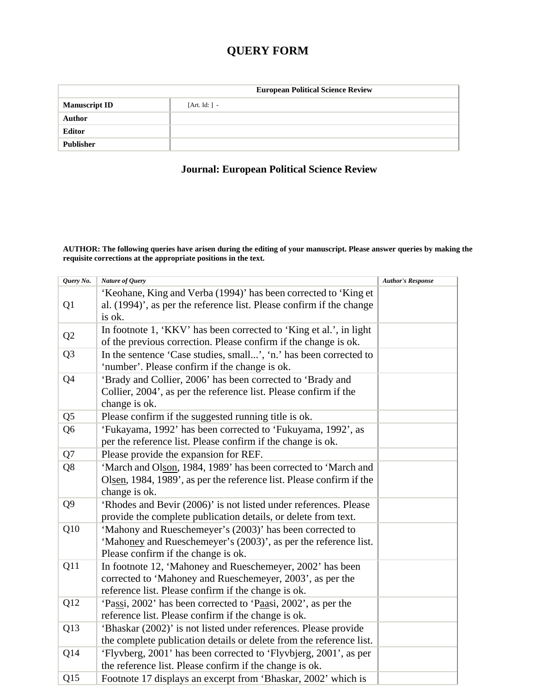## **QUERY FORM**

| <b>European Political Science Review</b> |                 |  |  |
|------------------------------------------|-----------------|--|--|
| <b>Manuscript ID</b>                     | $[Art. Id: ] -$ |  |  |
| Author                                   |                 |  |  |
| Editor                                   |                 |  |  |
| <b>Publisher</b>                         |                 |  |  |

### **Journal: European Political Science Review**

**AUTHOR: The following queries have arisen during the editing of your manuscript. Please answer queries by making the requisite corrections at the appropriate positions in the text.** 

| Query No.<br>Nature of Query |                                                                                                                        | <b>Author's Response</b> |
|------------------------------|------------------------------------------------------------------------------------------------------------------------|--------------------------|
|                              | 'Keohane, King and Verba (1994)' has been corrected to 'King et                                                        |                          |
| Q1                           | al. (1994)', as per the reference list. Please confirm if the change                                                   |                          |
| is ok.                       |                                                                                                                        |                          |
| Q2                           | In footnote 1, 'KKV' has been corrected to 'King et al.', in light                                                     |                          |
|                              | of the previous correction. Please confirm if the change is ok.                                                        |                          |
| Q <sub>3</sub>               | In the sentence 'Case studies, small', 'n.' has been corrected to                                                      |                          |
|                              | 'number'. Please confirm if the change is ok.                                                                          |                          |
| Q4                           | 'Brady and Collier, 2006' has been corrected to 'Brady and                                                             |                          |
|                              | Collier, 2004', as per the reference list. Please confirm if the                                                       |                          |
| change is ok.                |                                                                                                                        |                          |
| Q <sub>5</sub>               | Please confirm if the suggested running title is ok.                                                                   |                          |
| Q <sub>6</sub>               | 'Fukayama, 1992' has been corrected to 'Fukuyama, 1992', as                                                            |                          |
|                              | per the reference list. Please confirm if the change is ok.                                                            |                          |
| Q7                           | Please provide the expansion for REF.                                                                                  |                          |
| Q <sub>8</sub>               | 'March and Olson, 1984, 1989' has been corrected to 'March and                                                         |                          |
|                              | Olsen, 1984, 1989', as per the reference list. Please confirm if the                                                   |                          |
| change is ok.                |                                                                                                                        |                          |
| Q <sub>9</sub>               | 'Rhodes and Bevir (2006)' is not listed under references. Please                                                       |                          |
|                              | provide the complete publication details, or delete from text.                                                         |                          |
| Q10                          | 'Mahony and Rueschemeyer's (2003)' has been corrected to                                                               |                          |
|                              | 'Mahoney and Rueschemeyer's (2003)', as per the reference list.                                                        |                          |
|                              | Please confirm if the change is ok.                                                                                    |                          |
| Q11                          | In footnote 12, 'Mahoney and Rueschemeyer, 2002' has been<br>corrected to 'Mahoney and Rueschemeyer, 2003', as per the |                          |
|                              | reference list. Please confirm if the change is ok.                                                                    |                          |
| Q12                          | 'Passi, 2002' has been corrected to 'Paasi, 2002', as per the                                                          |                          |
|                              | reference list. Please confirm if the change is ok.                                                                    |                          |
| Q13                          | 'Bhaskar (2002)' is not listed under references. Please provide                                                        |                          |
|                              | the complete publication details or delete from the reference list.                                                    |                          |
| Q14                          | 'Flyvberg, 2001' has been corrected to 'Flyvbjerg, 2001', as per                                                       |                          |
|                              | the reference list. Please confirm if the change is ok.                                                                |                          |
| Q15                          | Footnote 17 displays an excerpt from 'Bhaskar, 2002' which is                                                          |                          |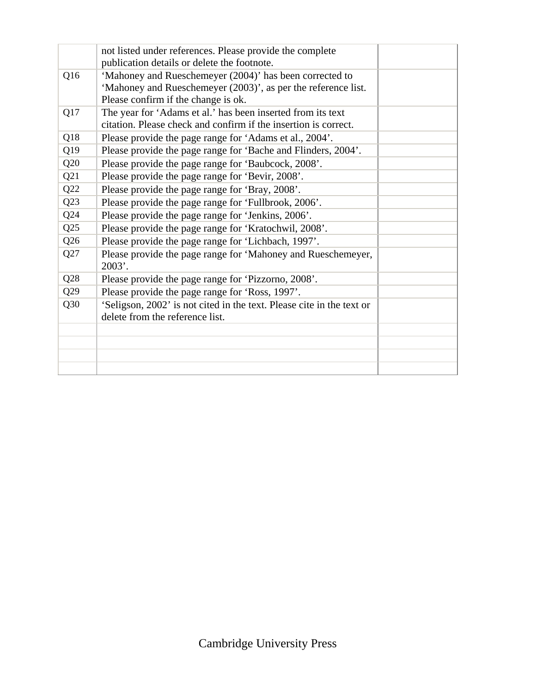|     | not listed under references. Please provide the complete              |  |
|-----|-----------------------------------------------------------------------|--|
|     | publication details or delete the footnote.                           |  |
| Q16 | 'Mahoney and Rueschemeyer (2004)' has been corrected to               |  |
|     | 'Mahoney and Rueschemeyer (2003)', as per the reference list.         |  |
|     | Please confirm if the change is ok.                                   |  |
| Q17 | The year for 'Adams et al.' has been inserted from its text           |  |
|     | citation. Please check and confirm if the insertion is correct.       |  |
| Q18 | Please provide the page range for 'Adams et al., 2004'.               |  |
| Q19 | Please provide the page range for 'Bache and Flinders, 2004'.         |  |
| Q20 | Please provide the page range for 'Baubcock, 2008'.                   |  |
| Q21 | Please provide the page range for 'Bevir, 2008'.                      |  |
| Q22 | Please provide the page range for 'Bray, 2008'.                       |  |
| Q23 | Please provide the page range for 'Fullbrook, 2006'.                  |  |
| Q24 | Please provide the page range for 'Jenkins, 2006'.                    |  |
| Q25 | Please provide the page range for 'Kratochwil, 2008'.                 |  |
| Q26 | Please provide the page range for 'Lichbach, 1997'.                   |  |
| Q27 | Please provide the page range for 'Mahoney and Rueschemeyer,          |  |
|     | 2003'.                                                                |  |
| Q28 | Please provide the page range for 'Pizzorno, 2008'.                   |  |
| Q29 | Please provide the page range for 'Ross, 1997'.                       |  |
| Q30 | 'Seligson, 2002' is not cited in the text. Please cite in the text or |  |
|     | delete from the reference list.                                       |  |
|     |                                                                       |  |
|     |                                                                       |  |
|     |                                                                       |  |
|     |                                                                       |  |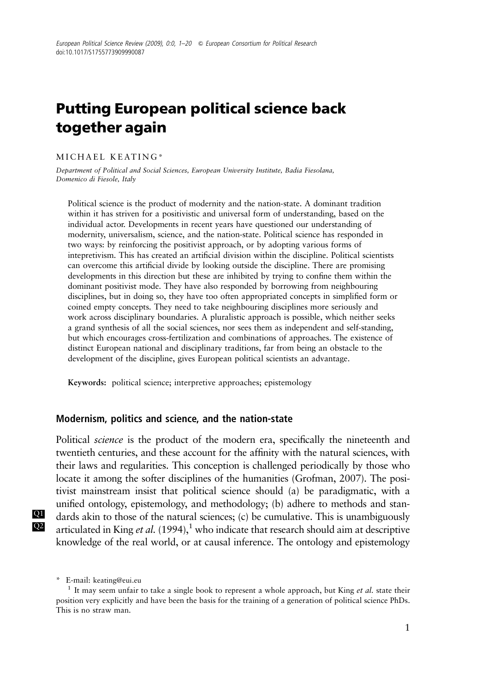# Putting European political science back together again

#### MICHAEL KEATING \*

Department of Political and Social Sciences, European University Institute, Badia Fiesolana, Domenico di Fiesole, Italy

Political science is the product of modernity and the nation-state. A dominant tradition within it has striven for a positivistic and universal form of understanding, based on the individual actor. Developments in recent years have questioned our understanding of modernity, universalism, science, and the nation-state. Political science has responded in two ways: by reinforcing the positivist approach, or by adopting various forms of intepretivism. This has created an artificial division within the discipline. Political scientists can overcome this artificial divide by looking outside the discipline. There are promising developments in this direction but these are inhibited by trying to confine them within the dominant positivist mode. They have also responded by borrowing from neighbouring disciplines, but in doing so, they have too often appropriated concepts in simplified form or coined empty concepts. They need to take neighbouring disciplines more seriously and work across disciplinary boundaries. A pluralistic approach is possible, which neither seeks a grand synthesis of all the social sciences, nor sees them as independent and self-standing, but which encourages cross-fertilization and combinations of approaches. The existence of distinct European national and disciplinary traditions, far from being an obstacle to the development of the discipline, gives European political scientists an advantage.

Keywords: political science; interpretive approaches; epistemology

#### Modernism, politics and science, and the nation-state

Political *science* is the product of the modern era, specifically the nineteenth and twentieth centuries, and these account for the affinity with the natural sciences, with their laws and regularities. This conception is challenged periodically by those who locate it among the softer disciplines of the humanities (Grofman, 2007). The positivist mainstream insist that political science should (a) be paradigmatic, with a unified ontology, epistemology, and methodology; (b) adhere to methods and standards akin to those of the natural sciences; (c) be cumulative. This is unambiguously<br>
articulated in King et al. (1994)<sup>1</sup> who indicate that research should aim at descriptive articulated in King *et al.* (1994),<sup>1</sup> who indicate that research should aim at descriptive knowledge of the real world, or at causal inference. The ontology and epistemology

<sup>\*</sup> E-mail: keating@eui.eu

 $1$  It may seem unfair to take a single book to represent a whole approach, but King et al. state their position very explicitly and have been the basis for the training of a generation of political science PhDs. This is no straw man.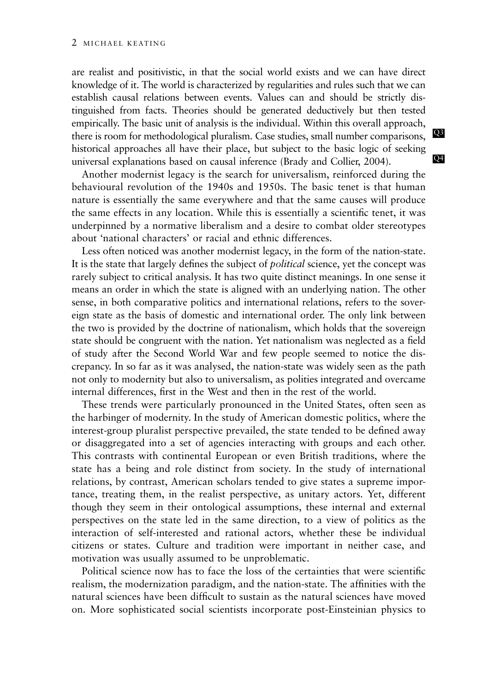are realist and positivistic, in that the social world exists and we can have direct knowledge of it. The world is characterized by regularities and rules such that we can establish causal relations between events. Values can and should be strictly distinguished from facts. Theories should be generated deductively but then tested empirically. The basic unit of analysis is the individual. Within this overall approach, there is room for methodological pluralism. Case studies, small number comparisons,  $\overline{Q3}$ historical approaches all have their place, but subject to the basic logic of seeking universal explanations based on causal inference (Brady and Collier, 2004).  $Q4$ 

Another modernist legacy is the search for universalism, reinforced during the behavioural revolution of the 1940s and 1950s. The basic tenet is that human nature is essentially the same everywhere and that the same causes will produce the same effects in any location. While this is essentially a scientific tenet, it was underpinned by a normative liberalism and a desire to combat older stereotypes about 'national characters' or racial and ethnic differences.

Less often noticed was another modernist legacy, in the form of the nation-state. It is the state that largely defines the subject of political science, yet the concept was rarely subject to critical analysis. It has two quite distinct meanings. In one sense it means an order in which the state is aligned with an underlying nation. The other sense, in both comparative politics and international relations, refers to the sovereign state as the basis of domestic and international order. The only link between the two is provided by the doctrine of nationalism, which holds that the sovereign state should be congruent with the nation. Yet nationalism was neglected as a field of study after the Second World War and few people seemed to notice the discrepancy. In so far as it was analysed, the nation-state was widely seen as the path not only to modernity but also to universalism, as polities integrated and overcame internal differences, first in the West and then in the rest of the world.

These trends were particularly pronounced in the United States, often seen as the harbinger of modernity. In the study of American domestic politics, where the interest-group pluralist perspective prevailed, the state tended to be defined away or disaggregated into a set of agencies interacting with groups and each other. This contrasts with continental European or even British traditions, where the state has a being and role distinct from society. In the study of international relations, by contrast, American scholars tended to give states a supreme importance, treating them, in the realist perspective, as unitary actors. Yet, different though they seem in their ontological assumptions, these internal and external perspectives on the state led in the same direction, to a view of politics as the interaction of self-interested and rational actors, whether these be individual citizens or states. Culture and tradition were important in neither case, and motivation was usually assumed to be unproblematic.

Political science now has to face the loss of the certainties that were scientific realism, the modernization paradigm, and the nation-state. The affinities with the natural sciences have been difficult to sustain as the natural sciences have moved on. More sophisticated social scientists incorporate post-Einsteinian physics to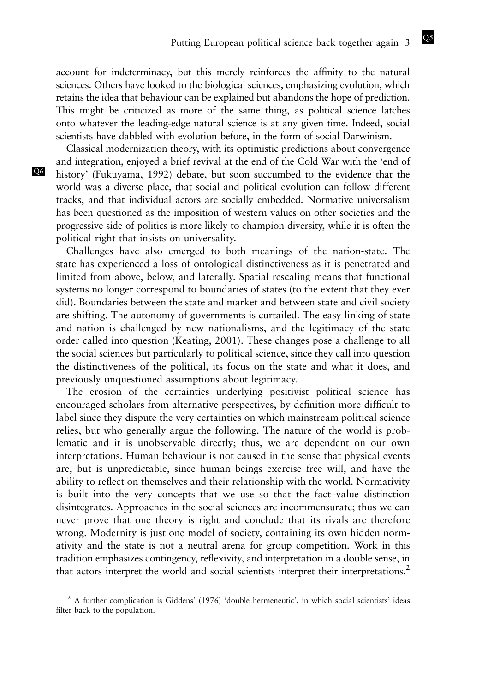Q5

account for indeterminacy, but this merely reinforces the affinity to the natural sciences. Others have looked to the biological sciences, emphasizing evolution, which retains the idea that behaviour can be explained but abandons the hope of prediction. This might be criticized as more of the same thing, as political science latches onto whatever the leading-edge natural science is at any given time. Indeed, social scientists have dabbled with evolution before, in the form of social Darwinism.

Classical modernization theory, with its optimistic predictions about convergence and integration, enjoyed a brief revival at the end of the Cold War with the 'end of history' Q6 (Fukuyama, 1992) debate, but soon succumbed to the evidence that the world was a diverse place, that social and political evolution can follow different tracks, and that individual actors are socially embedded. Normative universalism has been questioned as the imposition of western values on other societies and the progressive side of politics is more likely to champion diversity, while it is often the political right that insists on universality.

Challenges have also emerged to both meanings of the nation-state. The state has experienced a loss of ontological distinctiveness as it is penetrated and limited from above, below, and laterally. Spatial rescaling means that functional systems no longer correspond to boundaries of states (to the extent that they ever did). Boundaries between the state and market and between state and civil society are shifting. The autonomy of governments is curtailed. The easy linking of state and nation is challenged by new nationalisms, and the legitimacy of the state order called into question (Keating, 2001). These changes pose a challenge to all the social sciences but particularly to political science, since they call into question the distinctiveness of the political, its focus on the state and what it does, and previously unquestioned assumptions about legitimacy.

The erosion of the certainties underlying positivist political science has encouraged scholars from alternative perspectives, by definition more difficult to label since they dispute the very certainties on which mainstream political science relies, but who generally argue the following. The nature of the world is problematic and it is unobservable directly; thus, we are dependent on our own interpretations. Human behaviour is not caused in the sense that physical events are, but is unpredictable, since human beings exercise free will, and have the ability to reflect on themselves and their relationship with the world. Normativity is built into the very concepts that we use so that the fact–value distinction disintegrates. Approaches in the social sciences are incommensurate; thus we can never prove that one theory is right and conclude that its rivals are therefore wrong. Modernity is just one model of society, containing its own hidden normativity and the state is not a neutral arena for group competition. Work in this tradition emphasizes contingency, reflexivity, and interpretation in a double sense, in that actors interpret the world and social scientists interpret their interpretations.<sup>2</sup>

<sup>2</sup> A further complication is Giddens' (1976) 'double hermeneutic', in which social scientists' ideas filter back to the population.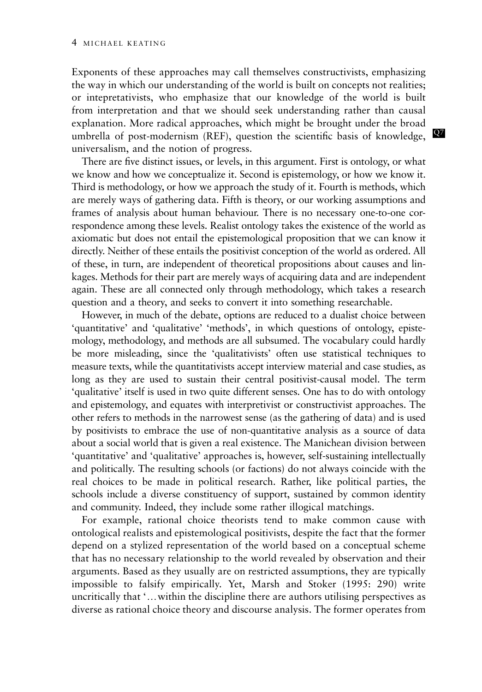Exponents of these approaches may call themselves constructivists, emphasizing the way in which our understanding of the world is built on concepts not realities; or intepretativists, who emphasize that our knowledge of the world is built from interpretation and that we should seek understanding rather than causal explanation. More radical approaches, which might be brought under the broad umbrella of post-modernism (REF), question the scientific basis of knowledge,  $\mathbb{Q}$ universalism, and the notion of progress.

There are five distinct issues, or levels, in this argument. First is ontology, or what we know and how we conceptualize it. Second is epistemology, or how we know it. Third is methodology, or how we approach the study of it. Fourth is methods, which are merely ways of gathering data. Fifth is theory, or our working assumptions and frames of analysis about human behaviour. There is no necessary one-to-one correspondence among these levels. Realist ontology takes the existence of the world as axiomatic but does not entail the epistemological proposition that we can know it directly. Neither of these entails the positivist conception of the world as ordered. All of these, in turn, are independent of theoretical propositions about causes and linkages. Methods for their part are merely ways of acquiring data and are independent again. These are all connected only through methodology, which takes a research question and a theory, and seeks to convert it into something researchable.

However, in much of the debate, options are reduced to a dualist choice between 'quantitative' and 'qualitative' 'methods', in which questions of ontology, epistemology, methodology, and methods are all subsumed. The vocabulary could hardly be more misleading, since the 'qualitativists' often use statistical techniques to measure texts, while the quantitativists accept interview material and case studies, as long as they are used to sustain their central positivist-causal model. The term 'qualitative' itself is used in two quite different senses. One has to do with ontology and epistemology, and equates with interpretivist or constructivist approaches. The other refers to methods in the narrowest sense (as the gathering of data) and is used by positivists to embrace the use of non-quantitative analysis as a source of data about a social world that is given a real existence. The Manichean division between 'quantitative' and 'qualitative' approaches is, however, self-sustaining intellectually and politically. The resulting schools (or factions) do not always coincide with the real choices to be made in political research. Rather, like political parties, the schools include a diverse constituency of support, sustained by common identity and community. Indeed, they include some rather illogical matchings.

For example, rational choice theorists tend to make common cause with ontological realists and epistemological positivists, despite the fact that the former depend on a stylized representation of the world based on a conceptual scheme that has no necessary relationship to the world revealed by observation and their arguments. Based as they usually are on restricted assumptions, they are typically impossible to falsify empirically. Yet, Marsh and Stoker (1995: 290) write uncritically that  $\ldots$  within the discipline there are authors utilising perspectives as diverse as rational choice theory and discourse analysis. The former operates from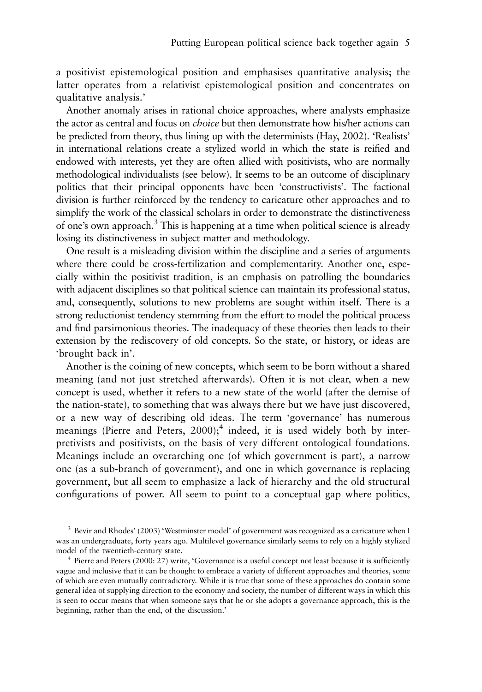a positivist epistemological position and emphasises quantitative analysis; the latter operates from a relativist epistemological position and concentrates on qualitative analysis.'

Another anomaly arises in rational choice approaches, where analysts emphasize the actor as central and focus on *choice* but then demonstrate how his/her actions can be predicted from theory, thus lining up with the determinists (Hay, 2002). 'Realists' in international relations create a stylized world in which the state is reified and endowed with interests, yet they are often allied with positivists, who are normally methodological individualists (see below). It seems to be an outcome of disciplinary politics that their principal opponents have been 'constructivists'. The factional division is further reinforced by the tendency to caricature other approaches and to simplify the work of the classical scholars in order to demonstrate the distinctiveness of one's own approach.3 This is happening at a time when political science is already losing its distinctiveness in subject matter and methodology.

One result is a misleading division within the discipline and a series of arguments where there could be cross-fertilization and complementarity. Another one, especially within the positivist tradition, is an emphasis on patrolling the boundaries with adjacent disciplines so that political science can maintain its professional status, and, consequently, solutions to new problems are sought within itself. There is a strong reductionist tendency stemming from the effort to model the political process and find parsimonious theories. The inadequacy of these theories then leads to their extension by the rediscovery of old concepts. So the state, or history, or ideas are 'brought back in'.

Another is the coining of new concepts, which seem to be born without a shared meaning (and not just stretched afterwards). Often it is not clear, when a new concept is used, whether it refers to a new state of the world (after the demise of the nation-state), to something that was always there but we have just discovered, or a new way of describing old ideas. The term 'governance' has numerous meanings (Pierre and Peters,  $2000$ );<sup>4</sup> indeed, it is used widely both by interpretivists and positivists, on the basis of very different ontological foundations. Meanings include an overarching one (of which government is part), a narrow one (as a sub-branch of government), and one in which governance is replacing government, but all seem to emphasize a lack of hierarchy and the old structural configurations of power. All seem to point to a conceptual gap where politics,

 $3$  Bevir and Rhodes' (2003) 'Westminster model' of government was recognized as a caricature when I was an undergraduate, forty years ago. Multilevel governance similarly seems to rely on a highly stylized model of the twentieth-century state.

<sup>4</sup> Pierre and Peters (2000: 27) write, 'Governance is a useful concept not least because it is sufficiently vague and inclusive that it can be thought to embrace a variety of different approaches and theories, some of which are even mutually contradictory. While it is true that some of these approaches do contain some general idea of supplying direction to the economy and society, the number of different ways in which this is seen to occur means that when someone says that he or she adopts a governance approach, this is the beginning, rather than the end, of the discussion.'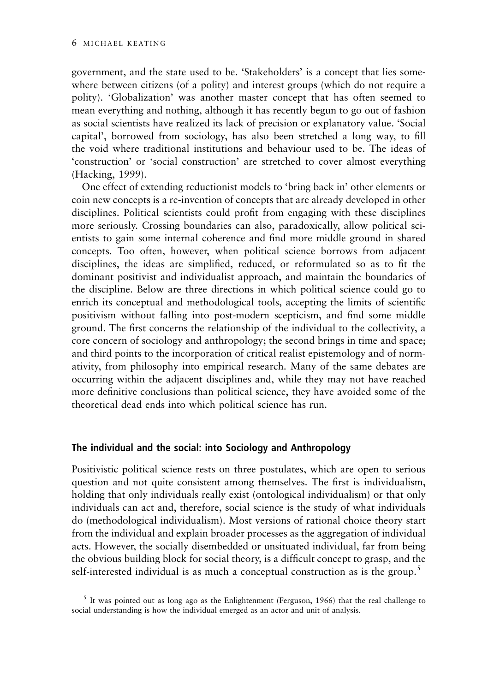government, and the state used to be. 'Stakeholders' is a concept that lies somewhere between citizens (of a polity) and interest groups (which do not require a polity). 'Globalization' was another master concept that has often seemed to mean everything and nothing, although it has recently begun to go out of fashion as social scientists have realized its lack of precision or explanatory value. 'Social capital', borrowed from sociology, has also been stretched a long way, to fill the void where traditional institutions and behaviour used to be. The ideas of 'construction' or 'social construction' are stretched to cover almost everything (Hacking, 1999).

One effect of extending reductionist models to 'bring back in' other elements or coin new concepts is a re-invention of concepts that are already developed in other disciplines. Political scientists could profit from engaging with these disciplines more seriously. Crossing boundaries can also, paradoxically, allow political scientists to gain some internal coherence and find more middle ground in shared concepts. Too often, however, when political science borrows from adjacent disciplines, the ideas are simplified, reduced, or reformulated so as to fit the dominant positivist and individualist approach, and maintain the boundaries of the discipline. Below are three directions in which political science could go to enrich its conceptual and methodological tools, accepting the limits of scientific positivism without falling into post-modern scepticism, and find some middle ground. The first concerns the relationship of the individual to the collectivity, a core concern of sociology and anthropology; the second brings in time and space; and third points to the incorporation of critical realist epistemology and of normativity, from philosophy into empirical research. Many of the same debates are occurring within the adjacent disciplines and, while they may not have reached more definitive conclusions than political science, they have avoided some of the theoretical dead ends into which political science has run.

#### The individual and the social: into Sociology and Anthropology

Positivistic political science rests on three postulates, which are open to serious question and not quite consistent among themselves. The first is individualism, holding that only individuals really exist (ontological individualism) or that only individuals can act and, therefore, social science is the study of what individuals do (methodological individualism). Most versions of rational choice theory start from the individual and explain broader processes as the aggregation of individual acts. However, the socially disembedded or unsituated individual, far from being the obvious building block for social theory, is a difficult concept to grasp, and the self-interested individual is as much a conceptual construction as is the group.<sup>5</sup>

 $5$  It was pointed out as long ago as the Enlightenment (Ferguson, 1966) that the real challenge to social understanding is how the individual emerged as an actor and unit of analysis.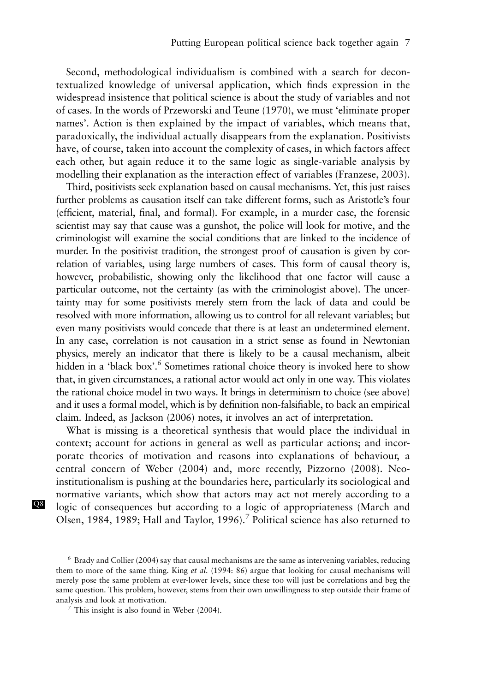Second, methodological individualism is combined with a search for decontextualized knowledge of universal application, which finds expression in the widespread insistence that political science is about the study of variables and not of cases. In the words of Przeworski and Teune (1970), we must 'eliminate proper names'. Action is then explained by the impact of variables, which means that, paradoxically, the individual actually disappears from the explanation. Positivists have, of course, taken into account the complexity of cases, in which factors affect each other, but again reduce it to the same logic as single-variable analysis by modelling their explanation as the interaction effect of variables (Franzese, 2003).

Third, positivists seek explanation based on causal mechanisms. Yet, this just raises further problems as causation itself can take different forms, such as Aristotle's four (efficient, material, final, and formal). For example, in a murder case, the forensic scientist may say that cause was a gunshot, the police will look for motive, and the criminologist will examine the social conditions that are linked to the incidence of murder. In the positivist tradition, the strongest proof of causation is given by correlation of variables, using large numbers of cases. This form of causal theory is, however, probabilistic, showing only the likelihood that one factor will cause a particular outcome, not the certainty (as with the criminologist above). The uncertainty may for some positivists merely stem from the lack of data and could be resolved with more information, allowing us to control for all relevant variables; but even many positivists would concede that there is at least an undetermined element. In any case, correlation is not causation in a strict sense as found in Newtonian physics, merely an indicator that there is likely to be a causal mechanism, albeit hidden in a 'black box'.<sup>6</sup> Sometimes rational choice theory is invoked here to show that, in given circumstances, a rational actor would act only in one way. This violates the rational choice model in two ways. It brings in determinism to choice (see above) and it uses a formal model, which is by definition non-falsifiable, to back an empirical claim. Indeed, as Jackson (2006) notes, it involves an act of interpretation.

What is missing is a theoretical synthesis that would place the individual in context; account for actions in general as well as particular actions; and incorporate theories of motivation and reasons into explanations of behaviour, a central concern of Weber (2004) and, more recently, Pizzorno (2008). Neoinstitutionalism is pushing at the boundaries here, particularly its sociological and normative variants, which show that actors may act not merely according to a **Q8** logic of consequences but according to a logic of appropriateness (March and Olsen, 1984, 1989; Hall and Taylor, 1996).<sup>7</sup> Political science has also returned to

<sup>6</sup> Brady and Collier (2004) say that causal mechanisms are the same as intervening variables, reducing them to more of the same thing. King et al. (1994: 86) argue that looking for causal mechanisms will merely pose the same problem at ever-lower levels, since these too will just be correlations and beg the same question. This problem, however, stems from their own unwillingness to step outside their frame of analysis and look at motivation.

 $<sup>7</sup>$  This insight is also found in Weber (2004).</sup>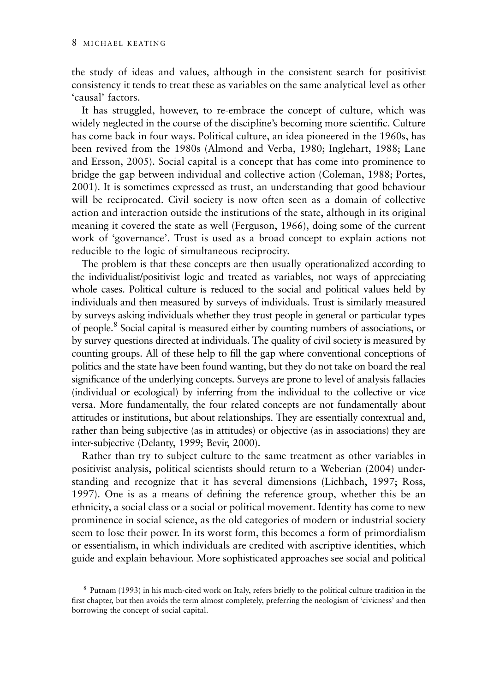#### 8 MICHAEL KEATING

the study of ideas and values, although in the consistent search for positivist consistency it tends to treat these as variables on the same analytical level as other 'causal' factors.

It has struggled, however, to re-embrace the concept of culture, which was widely neglected in the course of the discipline's becoming more scientific. Culture has come back in four ways. Political culture, an idea pioneered in the 1960s, has been revived from the 1980s (Almond and Verba, 1980; Inglehart, 1988; Lane and Ersson, 2005). Social capital is a concept that has come into prominence to bridge the gap between individual and collective action (Coleman, 1988; Portes, 2001). It is sometimes expressed as trust, an understanding that good behaviour will be reciprocated. Civil society is now often seen as a domain of collective action and interaction outside the institutions of the state, although in its original meaning it covered the state as well (Ferguson, 1966), doing some of the current work of 'governance'. Trust is used as a broad concept to explain actions not reducible to the logic of simultaneous reciprocity.

The problem is that these concepts are then usually operationalized according to the individualist/positivist logic and treated as variables, not ways of appreciating whole cases. Political culture is reduced to the social and political values held by individuals and then measured by surveys of individuals. Trust is similarly measured by surveys asking individuals whether they trust people in general or particular types of people.8 Social capital is measured either by counting numbers of associations, or by survey questions directed at individuals. The quality of civil society is measured by counting groups. All of these help to fill the gap where conventional conceptions of politics and the state have been found wanting, but they do not take on board the real significance of the underlying concepts. Surveys are prone to level of analysis fallacies (individual or ecological) by inferring from the individual to the collective or vice versa. More fundamentally, the four related concepts are not fundamentally about attitudes or institutions, but about relationships. They are essentially contextual and, rather than being subjective (as in attitudes) or objective (as in associations) they are inter-subjective (Delanty, 1999; Bevir, 2000).

Rather than try to subject culture to the same treatment as other variables in positivist analysis, political scientists should return to a Weberian (2004) understanding and recognize that it has several dimensions (Lichbach, 1997; Ross, 1997). One is as a means of defining the reference group, whether this be an ethnicity, a social class or a social or political movement. Identity has come to new prominence in social science, as the old categories of modern or industrial society seem to lose their power. In its worst form, this becomes a form of primordialism or essentialism, in which individuals are credited with ascriptive identities, which guide and explain behaviour. More sophisticated approaches see social and political

<sup>8</sup> Putnam (1993) in his much-cited work on Italy, refers briefly to the political culture tradition in the first chapter, but then avoids the term almost completely, preferring the neologism of 'civicness' and then borrowing the concept of social capital.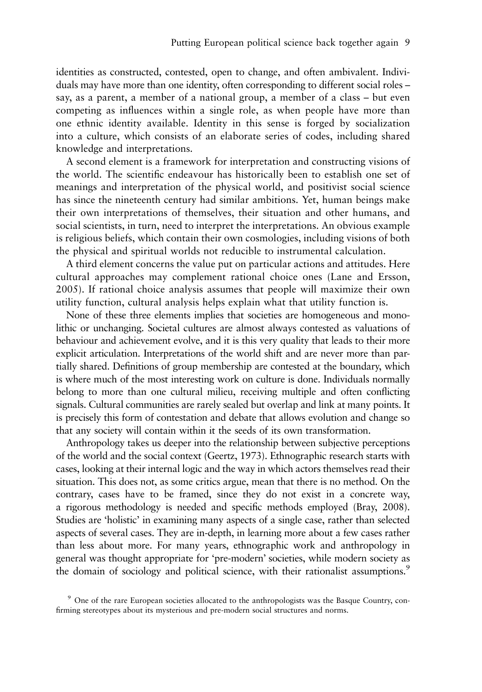identities as constructed, contested, open to change, and often ambivalent. Individuals may have more than one identity, often corresponding to different social roles – say, as a parent, a member of a national group, a member of a class – but even competing as influences within a single role, as when people have more than one ethnic identity available. Identity in this sense is forged by socialization into a culture, which consists of an elaborate series of codes, including shared knowledge and interpretations.

A second element is a framework for interpretation and constructing visions of the world. The scientific endeavour has historically been to establish one set of meanings and interpretation of the physical world, and positivist social science has since the nineteenth century had similar ambitions. Yet, human beings make their own interpretations of themselves, their situation and other humans, and social scientists, in turn, need to interpret the interpretations. An obvious example is religious beliefs, which contain their own cosmologies, including visions of both the physical and spiritual worlds not reducible to instrumental calculation.

A third element concerns the value put on particular actions and attitudes. Here cultural approaches may complement rational choice ones (Lane and Ersson, 2005). If rational choice analysis assumes that people will maximize their own utility function, cultural analysis helps explain what that utility function is.

None of these three elements implies that societies are homogeneous and monolithic or unchanging. Societal cultures are almost always contested as valuations of behaviour and achievement evolve, and it is this very quality that leads to their more explicit articulation. Interpretations of the world shift and are never more than partially shared. Definitions of group membership are contested at the boundary, which is where much of the most interesting work on culture is done. Individuals normally belong to more than one cultural milieu, receiving multiple and often conflicting signals. Cultural communities are rarely sealed but overlap and link at many points. It is precisely this form of contestation and debate that allows evolution and change so that any society will contain within it the seeds of its own transformation.

Anthropology takes us deeper into the relationship between subjective perceptions of the world and the social context (Geertz, 1973). Ethnographic research starts with cases, looking at their internal logic and the way in which actors themselves read their situation. This does not, as some critics argue, mean that there is no method. On the contrary, cases have to be framed, since they do not exist in a concrete way, a rigorous methodology is needed and specific methods employed (Bray, 2008). Studies are 'holistic' in examining many aspects of a single case, rather than selected aspects of several cases. They are in-depth, in learning more about a few cases rather than less about more. For many years, ethnographic work and anthropology in general was thought appropriate for 'pre-modern' societies, while modern society as the domain of sociology and political science, with their rationalist assumptions.<sup>9</sup>

<sup>&</sup>lt;sup>9</sup> One of the rare European societies allocated to the anthropologists was the Basque Country, confirming stereotypes about its mysterious and pre-modern social structures and norms.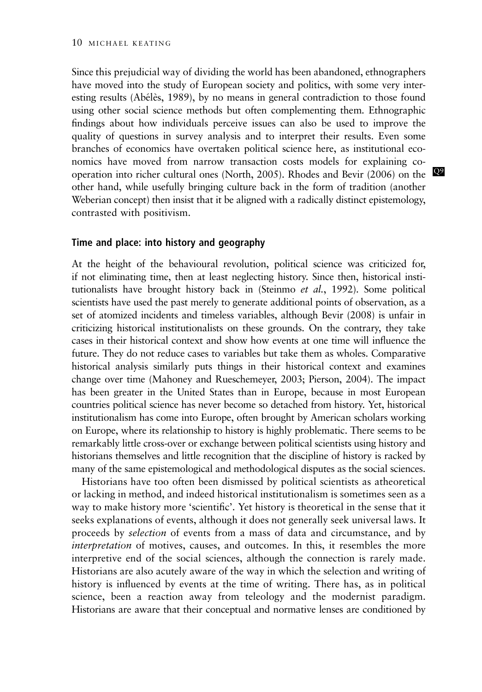Since this prejudicial way of dividing the world has been abandoned, ethnographers have moved into the study of European society and politics, with some very interesting results (Abélès, 1989), by no means in general contradiction to those found using other social science methods but often complementing them. Ethnographic findings about how individuals perceive issues can also be used to improve the quality of questions in survey analysis and to interpret their results. Even some branches of economics have overtaken political science here, as institutional economics have moved from narrow transaction costs models for explaining cooperation into richer cultural ones (North, 2005). Rhodes and Bevir (2006) on the other hand, while usefully bringing culture back in the form of tradition (another Weberian concept) then insist that it be aligned with a radically distinct epistemology, contrasted with positivism.

#### Time and place: into history and geography

At the height of the behavioural revolution, political science was criticized for, if not eliminating time, then at least neglecting history. Since then, historical institutionalists have brought history back in (Steinmo et al., 1992). Some political scientists have used the past merely to generate additional points of observation, as a set of atomized incidents and timeless variables, although Bevir (2008) is unfair in criticizing historical institutionalists on these grounds. On the contrary, they take cases in their historical context and show how events at one time will influence the future. They do not reduce cases to variables but take them as wholes. Comparative historical analysis similarly puts things in their historical context and examines change over time (Mahoney and Rueschemeyer, 2003; Pierson, 2004). The impact has been greater in the United States than in Europe, because in most European countries political science has never become so detached from history. Yet, historical institutionalism has come into Europe, often brought by American scholars working on Europe, where its relationship to history is highly problematic. There seems to be remarkably little cross-over or exchange between political scientists using history and historians themselves and little recognition that the discipline of history is racked by many of the same epistemological and methodological disputes as the social sciences.

Historians have too often been dismissed by political scientists as atheoretical or lacking in method, and indeed historical institutionalism is sometimes seen as a way to make history more 'scientific'. Yet history is theoretical in the sense that it seeks explanations of events, although it does not generally seek universal laws. It proceeds by selection of events from a mass of data and circumstance, and by interpretation of motives, causes, and outcomes. In this, it resembles the more interpretive end of the social sciences, although the connection is rarely made. Historians are also acutely aware of the way in which the selection and writing of history is influenced by events at the time of writing. There has, as in political science, been a reaction away from teleology and the modernist paradigm. Historians are aware that their conceptual and normative lenses are conditioned by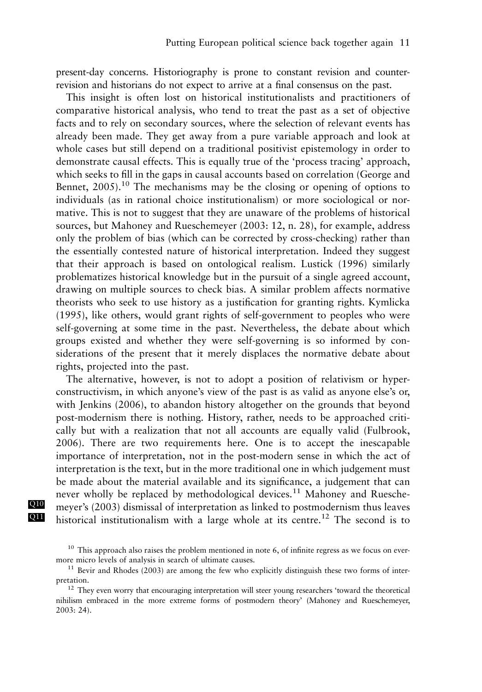present-day concerns. Historiography is prone to constant revision and counterrevision and historians do not expect to arrive at a final consensus on the past.

This insight is often lost on historical institutionalists and practitioners of comparative historical analysis, who tend to treat the past as a set of objective facts and to rely on secondary sources, where the selection of relevant events has already been made. They get away from a pure variable approach and look at whole cases but still depend on a traditional positivist epistemology in order to demonstrate causal effects. This is equally true of the 'process tracing' approach, which seeks to fill in the gaps in causal accounts based on correlation (George and Bennet, 2005).<sup>10</sup> The mechanisms may be the closing or opening of options to individuals (as in rational choice institutionalism) or more sociological or normative. This is not to suggest that they are unaware of the problems of historical sources, but Mahoney and Rueschemeyer (2003: 12, n. 28), for example, address only the problem of bias (which can be corrected by cross-checking) rather than the essentially contested nature of historical interpretation. Indeed they suggest that their approach is based on ontological realism. Lustick (1996) similarly problematizes historical knowledge but in the pursuit of a single agreed account, drawing on multiple sources to check bias. A similar problem affects normative theorists who seek to use history as a justification for granting rights. Kymlicka (1995), like others, would grant rights of self-government to peoples who were self-governing at some time in the past. Nevertheless, the debate about which groups existed and whether they were self-governing is so informed by considerations of the present that it merely displaces the normative debate about rights, projected into the past.

The alternative, however, is not to adopt a position of relativism or hyperconstructivism, in which anyone's view of the past is as valid as anyone else's or, with Jenkins (2006), to abandon history altogether on the grounds that beyond post-modernism there is nothing. History, rather, needs to be approached critically but with a realization that not all accounts are equally valid (Fulbrook, 2006). There are two requirements here. One is to accept the inescapable importance of interpretation, not in the post-modern sense in which the act of interpretation is the text, but in the more traditional one in which judgement must be made about the material available and its significance, a judgement that can never wholly be replaced by methodological devices.<sup>11</sup> Mahoney and Rueschemeyer's  $(2003)$  dismissal of interpretation as linked to postmodernism thus leaves historical institutionalism with a large whole at its centre.<sup>12</sup> The second is to

 $10$  This approach also raises the problem mentioned in note 6, of infinite regress as we focus on evermore micro levels of analysis in search of ultimate causes.

<sup>&</sup>lt;sup>11</sup> Bevir and Rhodes (2003) are among the few who explicitly distinguish these two forms of interpretation.

<sup>&</sup>lt;sup>12</sup> They even worry that encouraging interpretation will steer young researchers 'toward the theoretical nihilism embraced in the more extreme forms of postmodern theory' (Mahoney and Rueschemeyer, 2003: 24).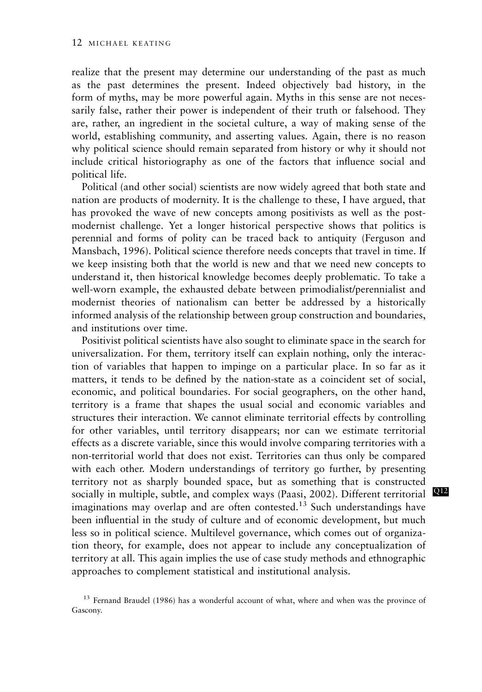realize that the present may determine our understanding of the past as much as the past determines the present. Indeed objectively bad history, in the form of myths, may be more powerful again. Myths in this sense are not necessarily false, rather their power is independent of their truth or falsehood. They are, rather, an ingredient in the societal culture, a way of making sense of the world, establishing community, and asserting values. Again, there is no reason why political science should remain separated from history or why it should not include critical historiography as one of the factors that influence social and political life.

Political (and other social) scientists are now widely agreed that both state and nation are products of modernity. It is the challenge to these, I have argued, that has provoked the wave of new concepts among positivists as well as the postmodernist challenge. Yet a longer historical perspective shows that politics is perennial and forms of polity can be traced back to antiquity (Ferguson and Mansbach, 1996). Political science therefore needs concepts that travel in time. If we keep insisting both that the world is new and that we need new concepts to understand it, then historical knowledge becomes deeply problematic. To take a well-worn example, the exhausted debate between primodialist/perennialist and modernist theories of nationalism can better be addressed by a historically informed analysis of the relationship between group construction and boundaries, and institutions over time.

Positivist political scientists have also sought to eliminate space in the search for universalization. For them, territory itself can explain nothing, only the interaction of variables that happen to impinge on a particular place. In so far as it matters, it tends to be defined by the nation-state as a coincident set of social, economic, and political boundaries. For social geographers, on the other hand, territory is a frame that shapes the usual social and economic variables and structures their interaction. We cannot eliminate territorial effects by controlling for other variables, until territory disappears; nor can we estimate territorial effects as a discrete variable, since this would involve comparing territories with a non-territorial world that does not exist. Territories can thus only be compared with each other. Modern understandings of territory go further, by presenting territory not as sharply bounded space, but as something that is constructed socially in multiple, subtle, and complex ways (Paasi, 2002). Different territorial  $\Box$ imaginations may overlap and are often contested.<sup>13</sup> Such understandings have been influential in the study of culture and of economic development, but much less so in political science. Multilevel governance, which comes out of organization theory, for example, does not appear to include any conceptualization of territory at all. This again implies the use of case study methods and ethnographic approaches to complement statistical and institutional analysis.

<sup>&</sup>lt;sup>13</sup> Fernand Braudel (1986) has a wonderful account of what, where and when was the province of Gascony.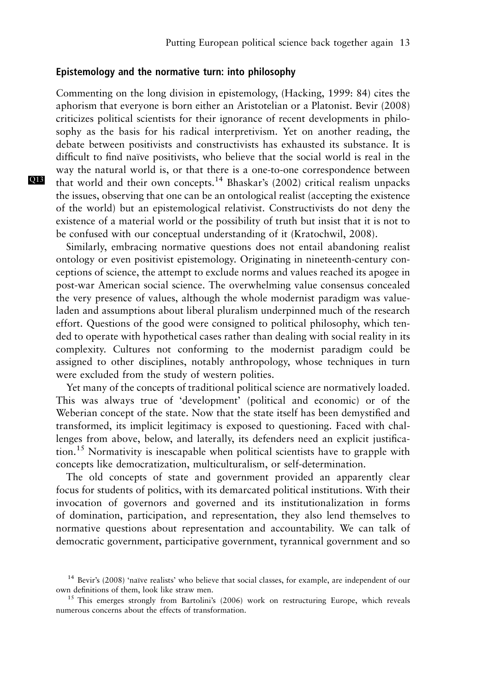#### Epistemology and the normative turn: into philosophy

Commenting on the long division in epistemology, (Hacking, 1999: 84) cites the aphorism that everyone is born either an Aristotelian or a Platonist. Bevir (2008) criticizes political scientists for their ignorance of recent developments in philosophy as the basis for his radical interpretivism. Yet on another reading, the debate between positivists and constructivists has exhausted its substance. It is difficult to find naïve positivists, who believe that the social world is real in the way the natural world is, or that there is a one-to-one correspondence between  $Q13$  that world and their own concepts.<sup>14</sup> Bhaskar's (2002) critical realism unpacks the issues, observing that one can be an ontological realist (accepting the existence of the world) but an epistemological relativist. Constructivists do not deny the existence of a material world or the possibility of truth but insist that it is not to be confused with our conceptual understanding of it (Kratochwil, 2008).

Similarly, embracing normative questions does not entail abandoning realist ontology or even positivist epistemology. Originating in nineteenth-century conceptions of science, the attempt to exclude norms and values reached its apogee in post-war American social science. The overwhelming value consensus concealed the very presence of values, although the whole modernist paradigm was valueladen and assumptions about liberal pluralism underpinned much of the research effort. Questions of the good were consigned to political philosophy, which tended to operate with hypothetical cases rather than dealing with social reality in its complexity. Cultures not conforming to the modernist paradigm could be assigned to other disciplines, notably anthropology, whose techniques in turn were excluded from the study of western polities.

Yet many of the concepts of traditional political science are normatively loaded. This was always true of 'development' (political and economic) or of the Weberian concept of the state. Now that the state itself has been demystified and transformed, its implicit legitimacy is exposed to questioning. Faced with challenges from above, below, and laterally, its defenders need an explicit justification.<sup>15</sup> Normativity is inescapable when political scientists have to grapple with concepts like democratization, multiculturalism, or self-determination.

The old concepts of state and government provided an apparently clear focus for students of politics, with its demarcated political institutions. With their invocation of governors and governed and its institutionalization in forms of domination, participation, and representation, they also lend themselves to normative questions about representation and accountability. We can talk of democratic government, participative government, tyrannical government and so

<sup>&</sup>lt;sup>14</sup> Bevir's (2008) 'naïve realists' who believe that social classes, for example, are independent of our own definitions of them, look like straw men.

<sup>&</sup>lt;sup>15</sup> This emerges strongly from Bartolini's (2006) work on restructuring Europe, which reveals numerous concerns about the effects of transformation.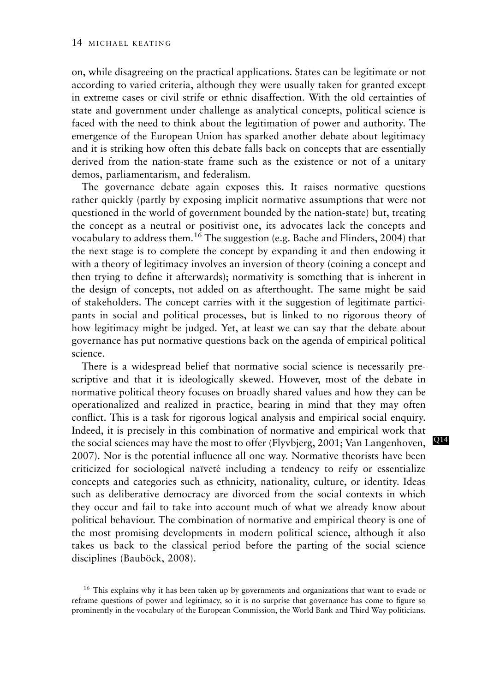on, while disagreeing on the practical applications. States can be legitimate or not according to varied criteria, although they were usually taken for granted except in extreme cases or civil strife or ethnic disaffection. With the old certainties of state and government under challenge as analytical concepts, political science is faced with the need to think about the legitimation of power and authority. The emergence of the European Union has sparked another debate about legitimacy and it is striking how often this debate falls back on concepts that are essentially derived from the nation-state frame such as the existence or not of a unitary demos, parliamentarism, and federalism.

The governance debate again exposes this. It raises normative questions rather quickly (partly by exposing implicit normative assumptions that were not questioned in the world of government bounded by the nation-state) but, treating the concept as a neutral or positivist one, its advocates lack the concepts and vocabulary to address them.<sup>16</sup> The suggestion (e.g. Bache and Flinders, 2004) that the next stage is to complete the concept by expanding it and then endowing it with a theory of legitimacy involves an inversion of theory (coining a concept and then trying to define it afterwards); normativity is something that is inherent in the design of concepts, not added on as afterthought. The same might be said of stakeholders. The concept carries with it the suggestion of legitimate participants in social and political processes, but is linked to no rigorous theory of how legitimacy might be judged. Yet, at least we can say that the debate about governance has put normative questions back on the agenda of empirical political science.

There is a widespread belief that normative social science is necessarily prescriptive and that it is ideologically skewed. However, most of the debate in normative political theory focuses on broadly shared values and how they can be operationalized and realized in practice, bearing in mind that they may often conflict. This is a task for rigorous logical analysis and empirical social enquiry. Indeed, it is precisely in this combination of normative and empirical work that the social sciences may have the most to offer (Flyvbjerg, 2001; Van Langenhoven, 2007). Nor is the potential influence all one way. Normative theorists have been criticized for sociological naïveté including a tendency to reify or essentialize concepts and categories such as ethnicity, nationality, culture, or identity. Ideas such as deliberative democracy are divorced from the social contexts in which they occur and fail to take into account much of what we already know about political behaviour. The combination of normative and empirical theory is one of the most promising developments in modern political science, although it also takes us back to the classical period before the parting of the social science disciplines (Bauböck, 2008).

<sup>&</sup>lt;sup>16</sup> This explains why it has been taken up by governments and organizations that want to evade or reframe questions of power and legitimacy, so it is no surprise that governance has come to figure so prominently in the vocabulary of the European Commission, the World Bank and Third Way politicians.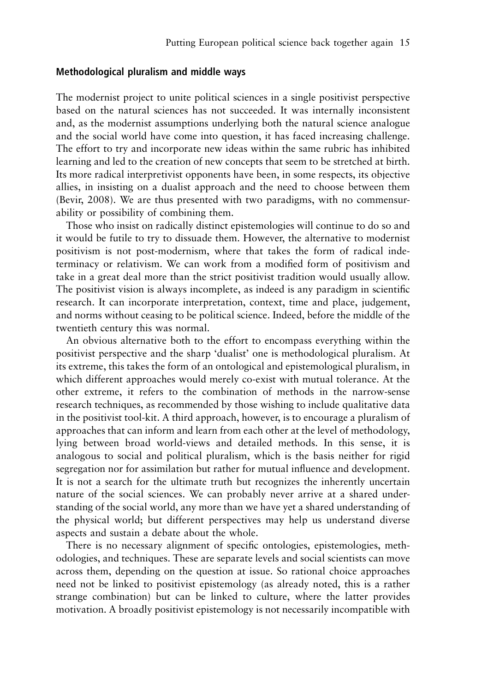#### Methodological pluralism and middle ways

The modernist project to unite political sciences in a single positivist perspective based on the natural sciences has not succeeded. It was internally inconsistent and, as the modernist assumptions underlying both the natural science analogue and the social world have come into question, it has faced increasing challenge. The effort to try and incorporate new ideas within the same rubric has inhibited learning and led to the creation of new concepts that seem to be stretched at birth. Its more radical interpretivist opponents have been, in some respects, its objective allies, in insisting on a dualist approach and the need to choose between them (Bevir, 2008). We are thus presented with two paradigms, with no commensurability or possibility of combining them.

Those who insist on radically distinct epistemologies will continue to do so and it would be futile to try to dissuade them. However, the alternative to modernist positivism is not post-modernism, where that takes the form of radical indeterminacy or relativism. We can work from a modified form of positivism and take in a great deal more than the strict positivist tradition would usually allow. The positivist vision is always incomplete, as indeed is any paradigm in scientific research. It can incorporate interpretation, context, time and place, judgement, and norms without ceasing to be political science. Indeed, before the middle of the twentieth century this was normal.

An obvious alternative both to the effort to encompass everything within the positivist perspective and the sharp 'dualist' one is methodological pluralism. At its extreme, this takes the form of an ontological and epistemological pluralism, in which different approaches would merely co-exist with mutual tolerance. At the other extreme, it refers to the combination of methods in the narrow-sense research techniques, as recommended by those wishing to include qualitative data in the positivist tool-kit. A third approach, however, is to encourage a pluralism of approaches that can inform and learn from each other at the level of methodology, lying between broad world-views and detailed methods. In this sense, it is analogous to social and political pluralism, which is the basis neither for rigid segregation nor for assimilation but rather for mutual influence and development. It is not a search for the ultimate truth but recognizes the inherently uncertain nature of the social sciences. We can probably never arrive at a shared understanding of the social world, any more than we have yet a shared understanding of the physical world; but different perspectives may help us understand diverse aspects and sustain a debate about the whole.

There is no necessary alignment of specific ontologies, epistemologies, methodologies, and techniques. These are separate levels and social scientists can move across them, depending on the question at issue. So rational choice approaches need not be linked to positivist epistemology (as already noted, this is a rather strange combination) but can be linked to culture, where the latter provides motivation. A broadly positivist epistemology is not necessarily incompatible with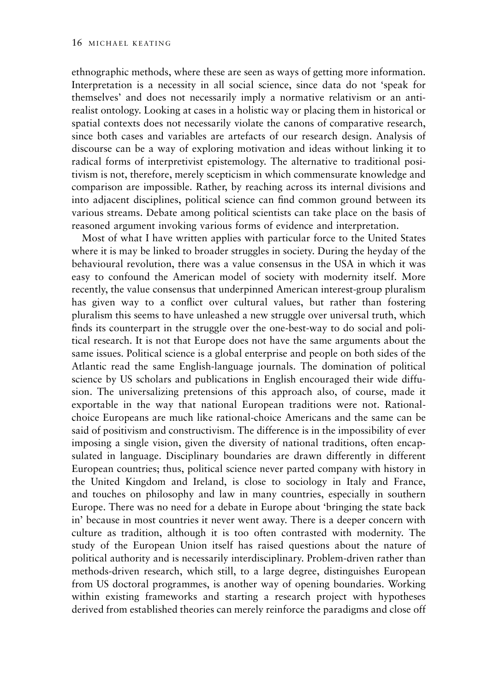ethnographic methods, where these are seen as ways of getting more information. Interpretation is a necessity in all social science, since data do not 'speak for themselves' and does not necessarily imply a normative relativism or an antirealist ontology. Looking at cases in a holistic way or placing them in historical or spatial contexts does not necessarily violate the canons of comparative research, since both cases and variables are artefacts of our research design. Analysis of discourse can be a way of exploring motivation and ideas without linking it to radical forms of interpretivist epistemology. The alternative to traditional positivism is not, therefore, merely scepticism in which commensurate knowledge and comparison are impossible. Rather, by reaching across its internal divisions and into adjacent disciplines, political science can find common ground between its various streams. Debate among political scientists can take place on the basis of reasoned argument invoking various forms of evidence and interpretation.

Most of what I have written applies with particular force to the United States where it is may be linked to broader struggles in society. During the heyday of the behavioural revolution, there was a value consensus in the USA in which it was easy to confound the American model of society with modernity itself. More recently, the value consensus that underpinned American interest-group pluralism has given way to a conflict over cultural values, but rather than fostering pluralism this seems to have unleashed a new struggle over universal truth, which finds its counterpart in the struggle over the one-best-way to do social and political research. It is not that Europe does not have the same arguments about the same issues. Political science is a global enterprise and people on both sides of the Atlantic read the same English-language journals. The domination of political science by US scholars and publications in English encouraged their wide diffusion. The universalizing pretensions of this approach also, of course, made it exportable in the way that national European traditions were not. Rationalchoice Europeans are much like rational-choice Americans and the same can be said of positivism and constructivism. The difference is in the impossibility of ever imposing a single vision, given the diversity of national traditions, often encapsulated in language. Disciplinary boundaries are drawn differently in different European countries; thus, political science never parted company with history in the United Kingdom and Ireland, is close to sociology in Italy and France, and touches on philosophy and law in many countries, especially in southern Europe. There was no need for a debate in Europe about 'bringing the state back in' because in most countries it never went away. There is a deeper concern with culture as tradition, although it is too often contrasted with modernity. The study of the European Union itself has raised questions about the nature of political authority and is necessarily interdisciplinary. Problem-driven rather than methods-driven research, which still, to a large degree, distinguishes European from US doctoral programmes, is another way of opening boundaries. Working within existing frameworks and starting a research project with hypotheses derived from established theories can merely reinforce the paradigms and close off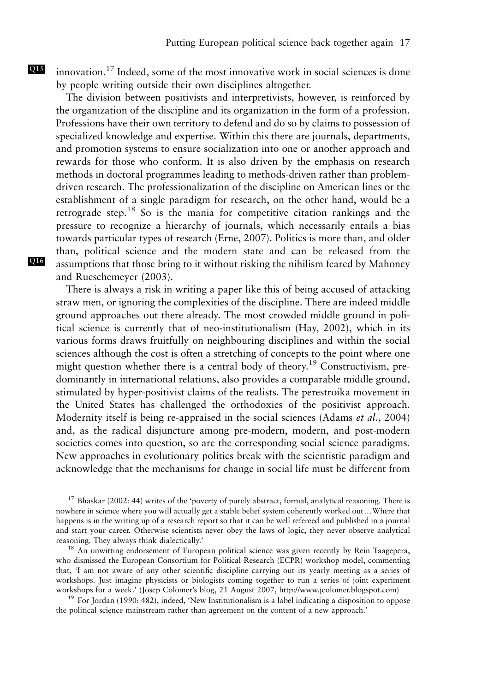$Q15$  innovation.<sup>17</sup> Indeed, some of the most innovative work in social sciences is done by people writing outside their own disciplines altogether.

The division between positivists and interpretivists, however, is reinforced by the organization of the discipline and its organization in the form of a profession. Professions have their own territory to defend and do so by claims to possession of specialized knowledge and expertise. Within this there are journals, departments, and promotion systems to ensure socialization into one or another approach and rewards for those who conform. It is also driven by the emphasis on research methods in doctoral programmes leading to methods-driven rather than problemdriven research. The professionalization of the discipline on American lines or the establishment of a single paradigm for research, on the other hand, would be a retrograde step.<sup>18</sup> So is the mania for competitive citation rankings and the pressure to recognize a hierarchy of journals, which necessarily entails a bias towards particular types of research (Erne, 2007). Politics is more than, and older than, political science and the modern state and can be released from the  $Q16$  assumptions that those bring to it without risking the nihilism feared by Mahoney and Rueschemeyer (2003).

There is always a risk in writing a paper like this of being accused of attacking straw men, or ignoring the complexities of the discipline. There are indeed middle ground approaches out there already. The most crowded middle ground in political science is currently that of neo-institutionalism (Hay, 2002), which in its various forms draws fruitfully on neighbouring disciplines and within the social sciences although the cost is often a stretching of concepts to the point where one might question whether there is a central body of theory.<sup>19</sup> Constructivism, predominantly in international relations, also provides a comparable middle ground, stimulated by hyper-positivist claims of the realists. The perestroika movement in the United States has challenged the orthodoxies of the positivist approach. Modernity itself is being re-appraised in the social sciences (Adams et al., 2004) and, as the radical disjuncture among pre-modern, modern, and post-modern societies comes into question, so are the corresponding social science paradigms. New approaches in evolutionary politics break with the scientistic paradigm and acknowledge that the mechanisms for change in social life must be different from

<sup>17</sup> Bhaskar (2002: 44) writes of the 'poverty of purely abstract, formal, analytical reasoning. There is nowhere in science where you will actually get a stable belief system coherently worked out... Where that happens is in the writing up of a research report so that it can be well refereed and published in a journal and start your career. Otherwise scientists never obey the laws of logic, they never observe analytical reasoning. They always think dialectically.'

<sup>18</sup> An unwitting endorsement of European political science was given recently by Rein Taagepera, who dismissed the European Consortium for Political Research (ECPR) workshop model, commenting that, 'I am not aware of any other scientific discipline carrying out its yearly meeting as a series of workshops. Just imagine physicists or biologists coming together to run a series of joint experiment workshops for a week.' (Josep Colomer's blog, 21 August 2007, http://www.jcolomer.blogspot.com)

<sup>19</sup> For Jordan (1990: 482), indeed, 'New Institutionalism is a label indicating a disposition to oppose the political science mainstream rather than agreement on the content of a new approach.'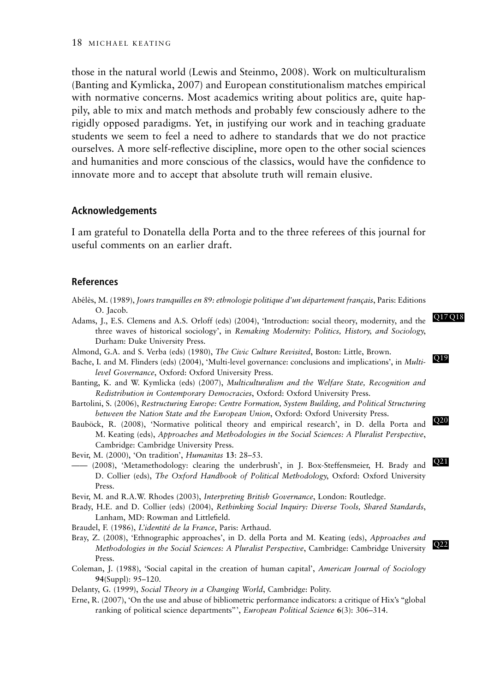those in the natural world (Lewis and Steinmo, 2008). Work on multiculturalism (Banting and Kymlicka, 2007) and European constitutionalism matches empirical with normative concerns. Most academics writing about politics are, quite happily, able to mix and match methods and probably few consciously adhere to the rigidly opposed paradigms. Yet, in justifying our work and in teaching graduate students we seem to feel a need to adhere to standards that we do not practice ourselves. A more self-reflective discipline, more open to the other social sciences and humanities and more conscious of the classics, would have the confidence to innovate more and to accept that absolute truth will remain elusive.

#### Acknowledgements

I am grateful to Donatella della Porta and to the three referees of this journal for useful comments on an earlier draft.

#### References

- Abélès, M. (1989), Jours tranquilles en 89: ethnologie politique d'un département français, Paris: Editions O. Jacob.
- Adams, J., E.S. Clemens and A.S. Orloff (eds) (2004), 'Introduction: social theory, modernity, and the **Q17Q18** three waves of historical sociology', in Remaking Modernity: Politics, History, and Sociology, Durham: Duke University Press.
- Almond, G.A. and S. Verba (eds) (1980), The Civic Culture Revisited, Boston: Little, Brown.
- Bache, I. and M. Flinders (eds) (2004), 'Multi-level governance: conclusions and implications', in Multilevel Governance, Oxford: Oxford University Press.
- Banting, K. and W. Kymlicka (eds) (2007), Multiculturalism and the Welfare State, Recognition and Redistribution in Contemporary Democracies, Oxford: Oxford University Press.
- Bartolini, S. (2006), Restructuring Europe: Centre Formation, System Building, and Political Structuring between the Nation State and the European Union, Oxford: Oxford University Press.
- Bauböck, R. (2008), 'Normative political theory and empirical research', in D. della Porta and Q20 M. Keating (eds), Approaches and Methodologies in the Social Sciences: A Pluralist Perspective, Cambridge: Cambridge University Press.
- Bevir, M. (2000), 'On tradition', Humanitas 13: 28–53.
- $\frac{1}{2008}$ ,  $\frac{1}{2008}$ , 'Metamethodology: clearing the underbrush', in J. Box-Steffensmeier, H. Brady and  $\frac{21}{2008}$ D. Collier (eds), The Oxford Handbook of Political Methodology, Oxford: Oxford University Press.

Bevir, M. and R.A.W. Rhodes (2003), Interpreting British Governance, London: Routledge.

- Brady, H.E. and D. Collier (eds) (2004), Rethinking Social Inquiry: Diverse Tools, Shared Standards, Lanham, MD: Rowman and Littlefield.
- Braudel, F. (1986), L'identité de la France, Paris: Arthaud.
- Bray, Z. (2008), 'Ethnographic approaches', in D. della Porta and M. Keating (eds), Approaches and Methodologies in the Social Sciences: A Pluralist Perspective, Cambridge: Cambridge University Press.
- Coleman, J. (1988), 'Social capital in the creation of human capital', American Journal of Sociology 94(Suppl): 95–120.
- Delanty, G. (1999), Social Theory in a Changing World, Cambridge: Polity.
- Erne, R. (2007), 'On the use and abuse of bibliometric performance indicators: a critique of Hix's "global" ranking of political science departments''', European Political Science 6(3): 306–314.

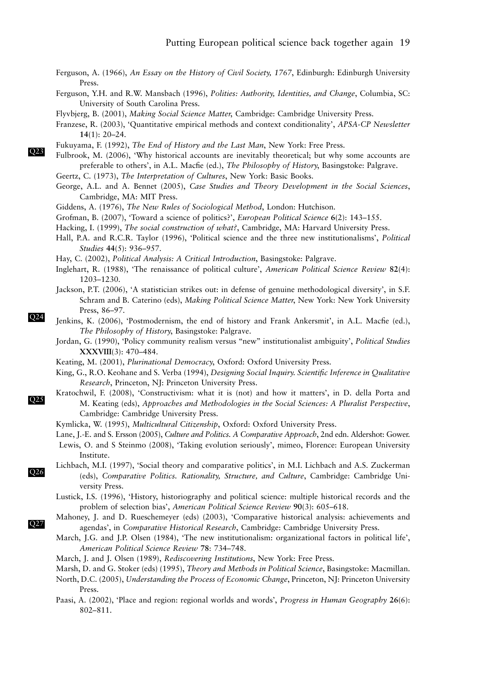- Ferguson, A. (1966), An Essay on the History of Civil Society, 1767, Edinburgh: Edinburgh University Press.
- Ferguson, Y.H. and R.W. Mansbach (1996), Polities: Authority, Identities, and Change, Columbia, SC: University of South Carolina Press.
- Flyvbjerg, B. (2001), Making Social Science Matter, Cambridge: Cambridge University Press.
- Franzese, R. (2003), 'Quantitative empirical methods and context conditionality', APSA-CP Newsletter 14(1): 20–24.
- Fukuyama, F. (1992), The End of History and the Last Man, New York: Free Press.

Research Fulbrook, M. (2006), 'Why historical accounts are inevitably theoretical; but why some accounts are preferable to others', in A.L. Macfie (ed.), The Philosophy of History, Basingstoke: Palgrave.

- Geertz, C. (1973), The Interpretation of Cultures, New York: Basic Books.
- George, A.L. and A. Bennet (2005), Case Studies and Theory Development in the Social Sciences, Cambridge, MA: MIT Press.
- Giddens, A. (1976), The New Rules of Sociological Method, London: Hutchison.
- Grofman, B. (2007), 'Toward a science of politics?', European Political Science 6(2): 143–155.
- Hacking, I. (1999), *The social construction of what?*, Cambridge, MA: Harvard University Press.
- Hall, P.A. and R.C.R. Taylor (1996), 'Political science and the three new institutionalisms', Political Studies 44(5): 936–957.
- Hay, C. (2002), Political Analysis: A Critical Introduction, Basingstoke: Palgrave.
- Inglehart, R. (1988), 'The renaissance of political culture', American Political Science Review 82(4): 1203–1230.
- Jackson, P.T. (2006), 'A statistician strikes out: in defense of genuine methodological diversity', in S.F. Schram and B. Caterino (eds), Making Political Science Matter, New York: New York University Press, 86–97.
- Q24 Jenkins, K. (2006), 'Postmodernism, the end of history and Frank Ankersmit', in A.L. Macfie (ed.), The Philosophy of History, Basingstoke: Palgrave.
	- Jordan, G. (1990), 'Policy community realism versus "new" institutionalist ambiguity', Political Studies XXXVIII(3): 470–484.
	- Keating, M. (2001), Plurinational Democracy, Oxford: Oxford University Press.
	- King, G., R.O. Keohane and S. Verba (1994), Designing Social Inquiry. Scientific Inference in Qualitative Research, Princeton, NJ: Princeton University Press.
- Kratochwil, F. (2008), 'Constructivism: what it is (not) and how it matters', in D. della Porta and M. Keating (eds), Approaches and Methodologies in the Social Sciences: A Pluralist Perspective, Cambridge: Cambridge University Press.
	- Kymlicka, W. (1995), Multicultural Citizenship, Oxford: Oxford University Press.
	- Lane, J.-E. and S. Ersson (2005), Culture and Politics. A Comparative Approach, 2nd edn. Aldershot: Gower.
	- Lewis, O. and S Steinmo (2008), 'Taking evolution seriously', mimeo, Florence: European University Institute.
- Lichbach, M.I. (1997), 'Social theory and comparative politics', in M.I. Lichbach and A.S. Zuckerman (eds), Comparative Politics. Rationality, Structure, and Culture, Cambridge: Cambridge University Press.
	- Lustick, I.S. (1996), 'History, historiography and political science: multiple historical records and the problem of selection bias', American Political Science Review 90(3): 605–618.
- Mahoney, J. and D. Rueschemeyer (eds) (2003), 'Comparative historical analysis: achievements and agendas', in Comparative Historical Research, Cambridge: Cambridge University Press.
	- March, J.G. and J.P. Olsen (1984), 'The new institutionalism: organizational factors in political life', American Political Science Review 78: 734–748.
	- March, J. and J. Olsen (1989), Rediscovering Institutions, New York: Free Press.
	- Marsh, D. and G. Stoker (eds) (1995), Theory and Methods in Political Science, Basingstoke: Macmillan.
	- North, D.C. (2005), Understanding the Process of Economic Change, Princeton, NJ: Princeton University Press.
	- Paasi, A. (2002), 'Place and region: regional worlds and words', Progress in Human Geography 26(6): 802–811.